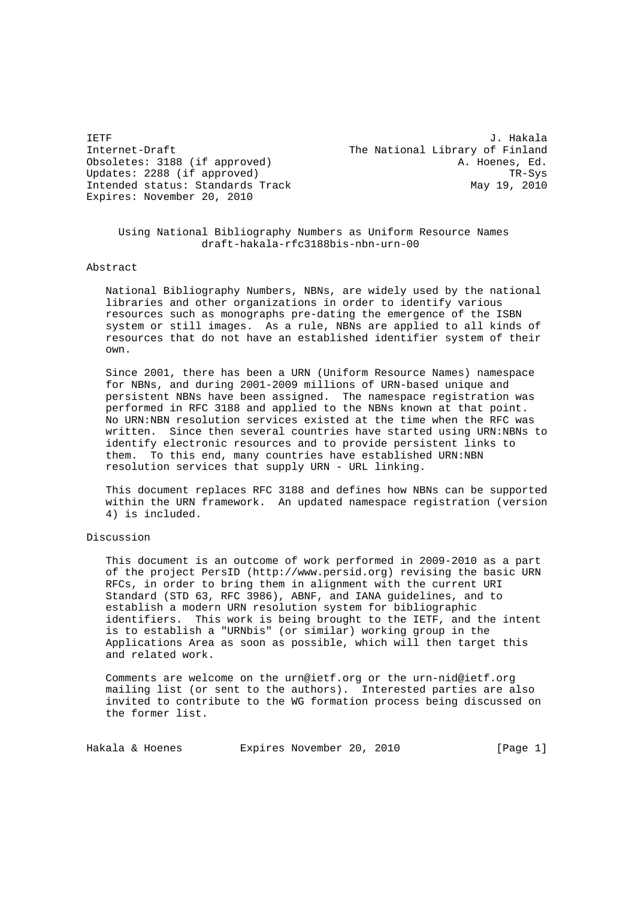Internet-Draft The National Library of Finland Obsoletes: 3188 (if approved) and the control of the A. Hoenes, Ed. Updates: 2288 (if approved) TR-Sys<br>Intended status: Standards Track Track May 19, 2010 Intended status: Standards Track Expires: November 20, 2010

IETF J. Hakala

 Using National Bibliography Numbers as Uniform Resource Names draft-hakala-rfc3188bis-nbn-urn-00

Abstract

 National Bibliography Numbers, NBNs, are widely used by the national libraries and other organizations in order to identify various resources such as monographs pre-dating the emergence of the ISBN system or still images. As a rule, NBNs are applied to all kinds of resources that do not have an established identifier system of their own.

 Since 2001, there has been a URN (Uniform Resource Names) namespace for NBNs, and during 2001-2009 millions of URN-based unique and persistent NBNs have been assigned. The namespace registration was performed in RFC 3188 and applied to the NBNs known at that point. No URN:NBN resolution services existed at the time when the RFC was written. Since then several countries have started using URN:NBNs to identify electronic resources and to provide persistent links to them. To this end, many countries have established URN:NBN resolution services that supply URN - URL linking.

 This document replaces RFC 3188 and defines how NBNs can be supported within the URN framework. An updated namespace registration (version 4) is included.

Discussion

 This document is an outcome of work performed in 2009-2010 as a part of the project PersID (http://www.persid.org) revising the basic URN RFCs, in order to bring them in alignment with the current URI Standard (STD 63, RFC 3986), ABNF, and IANA guidelines, and to establish a modern URN resolution system for bibliographic identifiers. This work is being brought to the IETF, and the intent is to establish a "URNbis" (or similar) working group in the Applications Area as soon as possible, which will then target this and related work.

 Comments are welcome on the urn@ietf.org or the urn-nid@ietf.org mailing list (or sent to the authors). Interested parties are also invited to contribute to the WG formation process being discussed on the former list.

Hakala & Hoenes Expires November 20, 2010 [Page 1]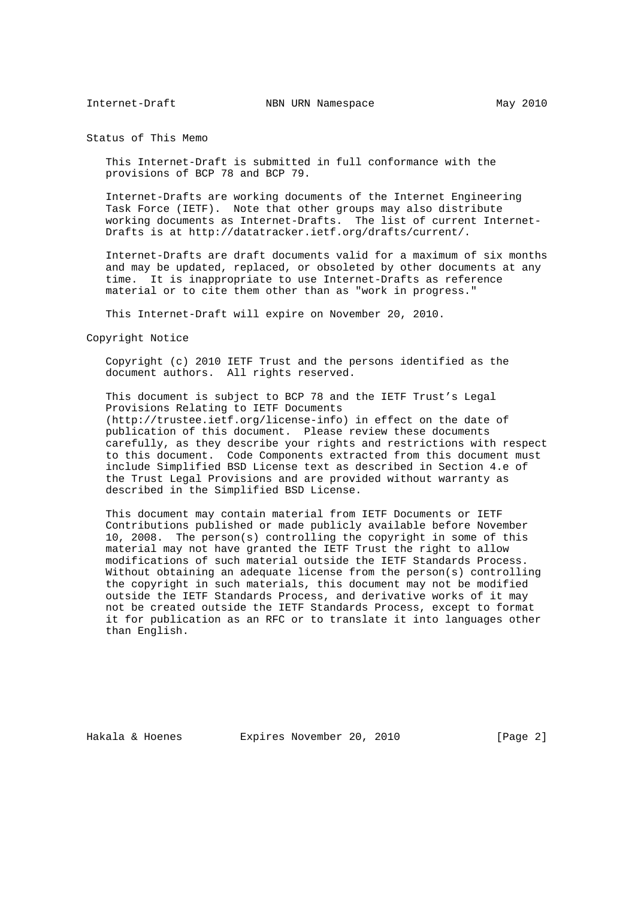Status of This Memo

 This Internet-Draft is submitted in full conformance with the provisions of BCP 78 and BCP 79.

 Internet-Drafts are working documents of the Internet Engineering Task Force (IETF). Note that other groups may also distribute working documents as Internet-Drafts. The list of current Internet- Drafts is at http://datatracker.ietf.org/drafts/current/.

 Internet-Drafts are draft documents valid for a maximum of six months and may be updated, replaced, or obsoleted by other documents at any time. It is inappropriate to use Internet-Drafts as reference material or to cite them other than as "work in progress."

This Internet-Draft will expire on November 20, 2010.

Copyright Notice

 Copyright (c) 2010 IETF Trust and the persons identified as the document authors. All rights reserved.

 This document is subject to BCP 78 and the IETF Trust's Legal Provisions Relating to IETF Documents (http://trustee.ietf.org/license-info) in effect on the date of publication of this document. Please review these documents carefully, as they describe your rights and restrictions with respect to this document. Code Components extracted from this document must include Simplified BSD License text as described in Section 4.e of the Trust Legal Provisions and are provided without warranty as described in the Simplified BSD License.

 This document may contain material from IETF Documents or IETF Contributions published or made publicly available before November 10, 2008. The person(s) controlling the copyright in some of this material may not have granted the IETF Trust the right to allow modifications of such material outside the IETF Standards Process. Without obtaining an adequate license from the person(s) controlling the copyright in such materials, this document may not be modified outside the IETF Standards Process, and derivative works of it may not be created outside the IETF Standards Process, except to format it for publication as an RFC or to translate it into languages other than English.

Hakala & Hoenes **Expires November 20, 2010** [Page 2]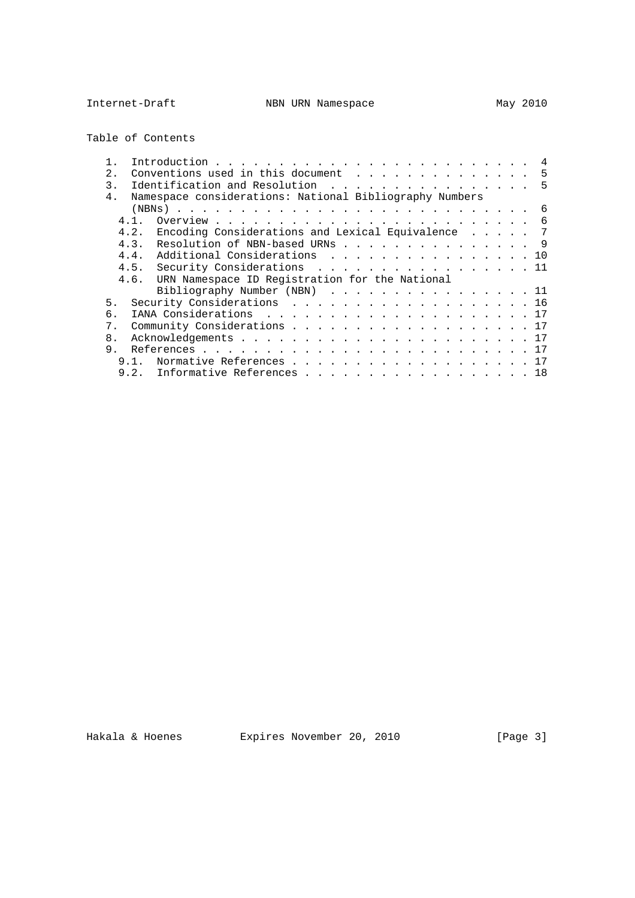Table of Contents

| 2.             |                                                         |  |  | 5  |
|----------------|---------------------------------------------------------|--|--|----|
| $\mathcal{E}$  | Identification and Resolution 5                         |  |  |    |
| $4$ .          | Namespace considerations: National Bibliography Numbers |  |  |    |
|                |                                                         |  |  |    |
| 4.1.           |                                                         |  |  | -6 |
| 4.2.           | Encoding Considerations and Lexical Equivalence 7       |  |  |    |
| 4.3.           | Resolution of NBN-based URNs 9                          |  |  |    |
| 4.4.           | Additional Considerations 10                            |  |  |    |
|                | 4.5. Security Considerations 11                         |  |  |    |
| 4.6.           | URN Namespace ID Registration for the National          |  |  |    |
|                | Bibliography Number (NBN) $\ldots$ 11                   |  |  |    |
|                |                                                         |  |  |    |
| 5.             | Security Considerations 16                              |  |  |    |
| б.             |                                                         |  |  |    |
| 7.             | Community Considerations 17                             |  |  |    |
| 8 <sub>1</sub> |                                                         |  |  |    |
| 9              |                                                         |  |  |    |
|                | Normative References 17                                 |  |  |    |
|                | 9.2. Informative References 18                          |  |  |    |

Hakala & Hoenes **Expires November 20, 2010** [Page 3]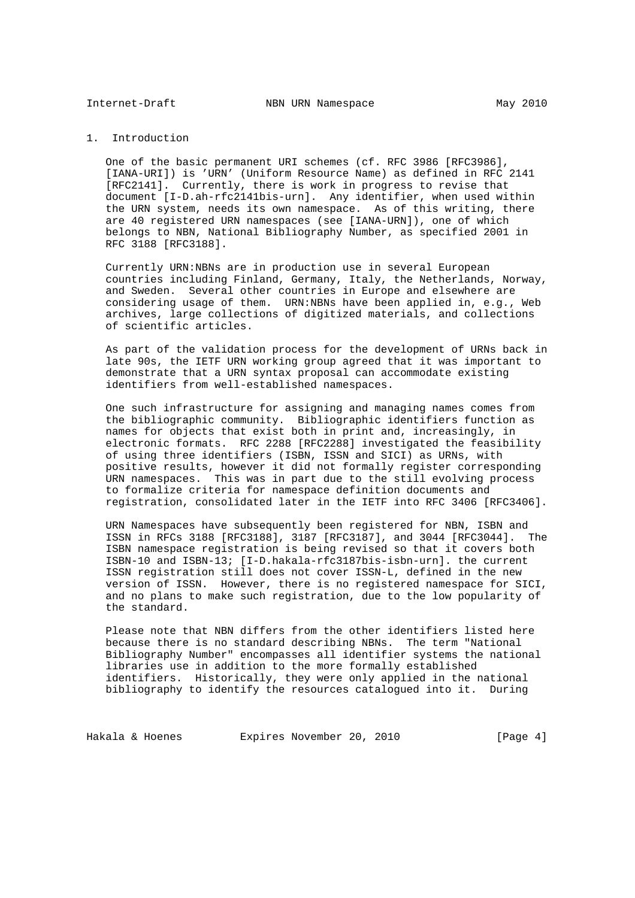1. Introduction

 One of the basic permanent URI schemes (cf. RFC 3986 [RFC3986], [IANA-URI]) is 'URN' (Uniform Resource Name) as defined in RFC 2141 [RFC2141]. Currently, there is work in progress to revise that document [I-D.ah-rfc2141bis-urn]. Any identifier, when used within the URN system, needs its own namespace. As of this writing, there are 40 registered URN namespaces (see [IANA-URN]), one of which belongs to NBN, National Bibliography Number, as specified 2001 in RFC 3188 [RFC3188].

 Currently URN:NBNs are in production use in several European countries including Finland, Germany, Italy, the Netherlands, Norway, and Sweden. Several other countries in Europe and elsewhere are considering usage of them. URN:NBNs have been applied in, e.g., Web archives, large collections of digitized materials, and collections of scientific articles.

 As part of the validation process for the development of URNs back in late 90s, the IETF URN working group agreed that it was important to demonstrate that a URN syntax proposal can accommodate existing identifiers from well-established namespaces.

 One such infrastructure for assigning and managing names comes from the bibliographic community. Bibliographic identifiers function as names for objects that exist both in print and, increasingly, in electronic formats. RFC 2288 [RFC2288] investigated the feasibility of using three identifiers (ISBN, ISSN and SICI) as URNs, with positive results, however it did not formally register corresponding URN namespaces. This was in part due to the still evolving process to formalize criteria for namespace definition documents and registration, consolidated later in the IETF into RFC 3406 [RFC3406].

 URN Namespaces have subsequently been registered for NBN, ISBN and ISSN in RFCs 3188 [RFC3188], 3187 [RFC3187], and 3044 [RFC3044]. The ISBN namespace registration is being revised so that it covers both ISBN-10 and ISBN-13; [I-D.hakala-rfc3187bis-isbn-urn]. the current ISSN registration still does not cover ISSN-L, defined in the new version of ISSN. However, there is no registered namespace for SICI, and no plans to make such registration, due to the low popularity of the standard.

 Please note that NBN differs from the other identifiers listed here because there is no standard describing NBNs. The term "National Bibliography Number" encompasses all identifier systems the national libraries use in addition to the more formally established identifiers. Historically, they were only applied in the national bibliography to identify the resources catalogued into it. During

Hakala & Hoenes **Expires November 20, 2010** [Page 4]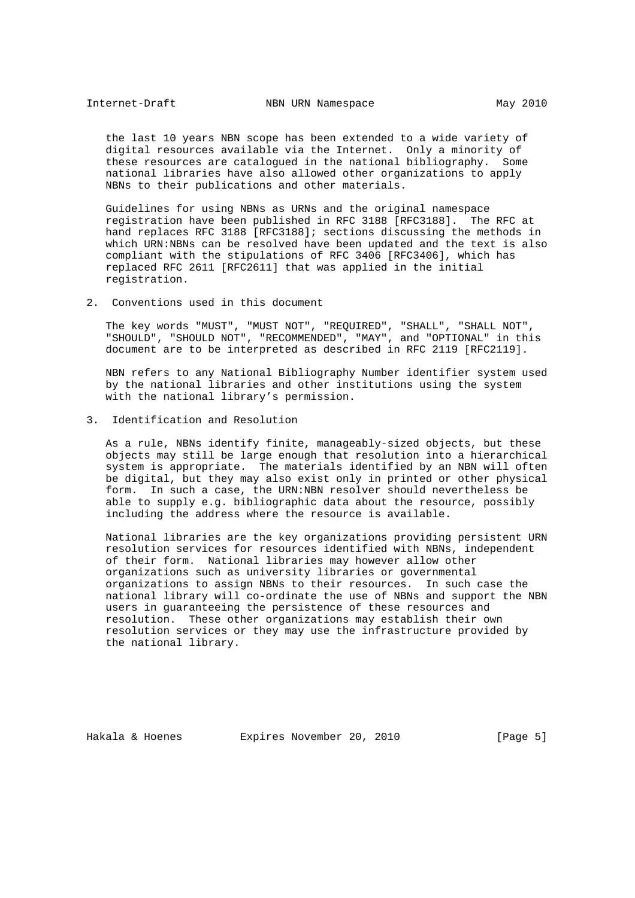the last 10 years NBN scope has been extended to a wide variety of digital resources available via the Internet. Only a minority of these resources are catalogued in the national bibliography. Some national libraries have also allowed other organizations to apply NBNs to their publications and other materials.

 Guidelines for using NBNs as URNs and the original namespace registration have been published in RFC 3188 [RFC3188]. The RFC at hand replaces RFC 3188 [RFC3188]; sections discussing the methods in which URN:NBNs can be resolved have been updated and the text is also compliant with the stipulations of RFC 3406 [RFC3406], which has replaced RFC 2611 [RFC2611] that was applied in the initial registration.

2. Conventions used in this document

 The key words "MUST", "MUST NOT", "REQUIRED", "SHALL", "SHALL NOT", "SHOULD", "SHOULD NOT", "RECOMMENDED", "MAY", and "OPTIONAL" in this document are to be interpreted as described in RFC 2119 [RFC2119].

 NBN refers to any National Bibliography Number identifier system used by the national libraries and other institutions using the system with the national library's permission.

3. Identification and Resolution

 As a rule, NBNs identify finite, manageably-sized objects, but these objects may still be large enough that resolution into a hierarchical system is appropriate. The materials identified by an NBN will often be digital, but they may also exist only in printed or other physical form. In such a case, the URN:NBN resolver should nevertheless be able to supply e.g. bibliographic data about the resource, possibly including the address where the resource is available.

 National libraries are the key organizations providing persistent URN resolution services for resources identified with NBNs, independent of their form. National libraries may however allow other organizations such as university libraries or governmental organizations to assign NBNs to their resources. In such case the national library will co-ordinate the use of NBNs and support the NBN users in guaranteeing the persistence of these resources and resolution. These other organizations may establish their own resolution services or they may use the infrastructure provided by the national library.

Hakala & Hoenes Expires November 20, 2010 [Page 5]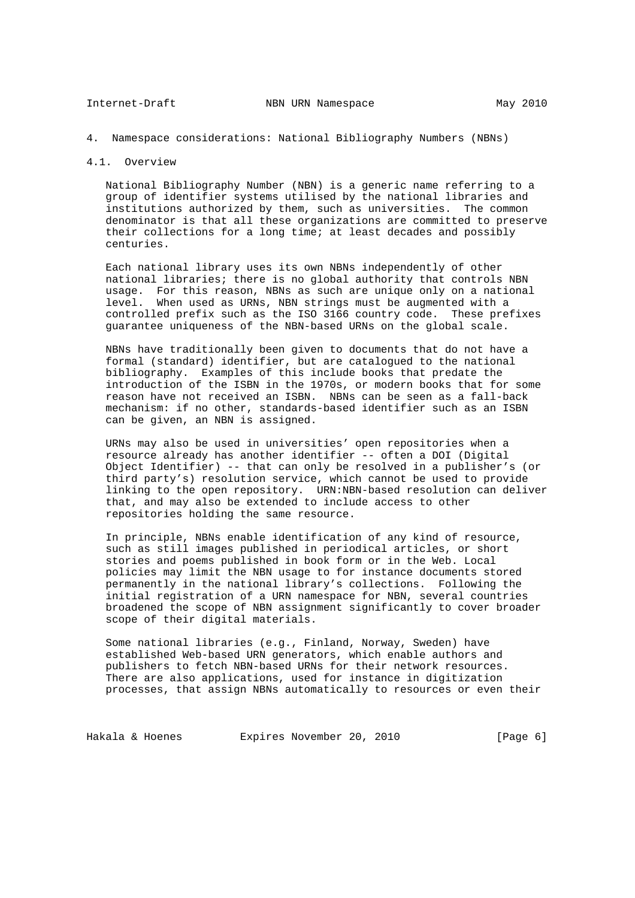## 4. Namespace considerations: National Bibliography Numbers (NBNs)

#### 4.1. Overview

 National Bibliography Number (NBN) is a generic name referring to a group of identifier systems utilised by the national libraries and institutions authorized by them, such as universities. The common denominator is that all these organizations are committed to preserve their collections for a long time; at least decades and possibly centuries.

 Each national library uses its own NBNs independently of other national libraries; there is no global authority that controls NBN usage. For this reason, NBNs as such are unique only on a national level. When used as URNs, NBN strings must be augmented with a controlled prefix such as the ISO 3166 country code. These prefixes guarantee uniqueness of the NBN-based URNs on the global scale.

 NBNs have traditionally been given to documents that do not have a formal (standard) identifier, but are catalogued to the national bibliography. Examples of this include books that predate the introduction of the ISBN in the 1970s, or modern books that for some reason have not received an ISBN. NBNs can be seen as a fall-back mechanism: if no other, standards-based identifier such as an ISBN can be given, an NBN is assigned.

 URNs may also be used in universities' open repositories when a resource already has another identifier -- often a DOI (Digital Object Identifier) -- that can only be resolved in a publisher's (or third party's) resolution service, which cannot be used to provide linking to the open repository. URN:NBN-based resolution can deliver that, and may also be extended to include access to other repositories holding the same resource.

 In principle, NBNs enable identification of any kind of resource, such as still images published in periodical articles, or short stories and poems published in book form or in the Web. Local policies may limit the NBN usage to for instance documents stored permanently in the national library's collections. Following the initial registration of a URN namespace for NBN, several countries broadened the scope of NBN assignment significantly to cover broader scope of their digital materials.

 Some national libraries (e.g., Finland, Norway, Sweden) have established Web-based URN generators, which enable authors and publishers to fetch NBN-based URNs for their network resources. There are also applications, used for instance in digitization processes, that assign NBNs automatically to resources or even their

Hakala & Hoenes **Expires November 20, 2010** [Page 6]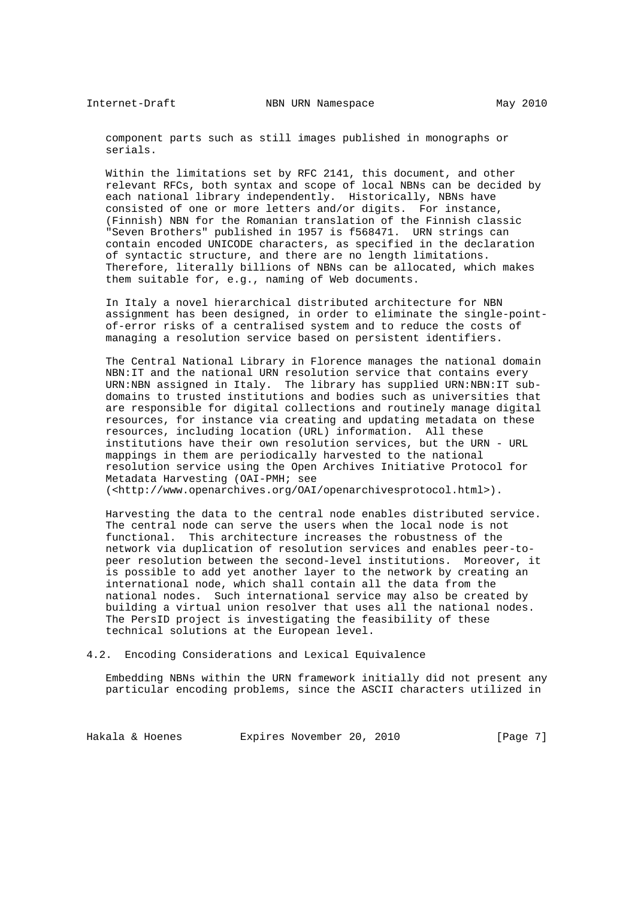component parts such as still images published in monographs or serials.

 Within the limitations set by RFC 2141, this document, and other relevant RFCs, both syntax and scope of local NBNs can be decided by each national library independently. Historically, NBNs have consisted of one or more letters and/or digits. For instance, (Finnish) NBN for the Romanian translation of the Finnish classic "Seven Brothers" published in 1957 is f568471. URN strings can contain encoded UNICODE characters, as specified in the declaration of syntactic structure, and there are no length limitations. Therefore, literally billions of NBNs can be allocated, which makes them suitable for, e.g., naming of Web documents.

 In Italy a novel hierarchical distributed architecture for NBN assignment has been designed, in order to eliminate the single-point of-error risks of a centralised system and to reduce the costs of managing a resolution service based on persistent identifiers.

 The Central National Library in Florence manages the national domain NBN:IT and the national URN resolution service that contains every URN:NBN assigned in Italy. The library has supplied URN:NBN:IT sub domains to trusted institutions and bodies such as universities that are responsible for digital collections and routinely manage digital resources, for instance via creating and updating metadata on these resources, including location (URL) information. All these institutions have their own resolution services, but the URN - URL mappings in them are periodically harvested to the national resolution service using the Open Archives Initiative Protocol for Metadata Harvesting (OAI-PMH; see (<http://www.openarchives.org/OAI/openarchivesprotocol.html>).

 Harvesting the data to the central node enables distributed service. The central node can serve the users when the local node is not functional. This architecture increases the robustness of the network via duplication of resolution services and enables peer-to peer resolution between the second-level institutions. Moreover, it is possible to add yet another layer to the network by creating an international node, which shall contain all the data from the national nodes. Such international service may also be created by building a virtual union resolver that uses all the national nodes. The PersID project is investigating the feasibility of these technical solutions at the European level.

#### 4.2. Encoding Considerations and Lexical Equivalence

 Embedding NBNs within the URN framework initially did not present any particular encoding problems, since the ASCII characters utilized in

Hakala & Hoenes Expires November 20, 2010 [Page 7]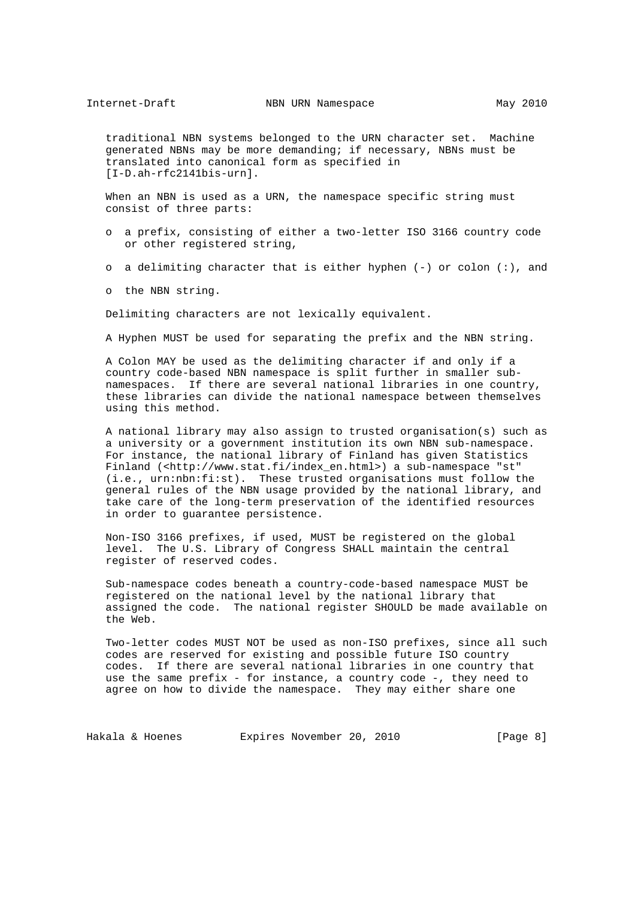traditional NBN systems belonged to the URN character set. Machine generated NBNs may be more demanding; if necessary, NBNs must be translated into canonical form as specified in [I-D.ah-rfc2141bis-urn].

 When an NBN is used as a URN, the namespace specific string must consist of three parts:

- o a prefix, consisting of either a two-letter ISO 3166 country code or other registered string,
- o a delimiting character that is either hyphen  $(-)$  or colon  $(:)$ , and
- o the NBN string.

Delimiting characters are not lexically equivalent.

A Hyphen MUST be used for separating the prefix and the NBN string.

 A Colon MAY be used as the delimiting character if and only if a country code-based NBN namespace is split further in smaller sub namespaces. If there are several national libraries in one country, these libraries can divide the national namespace between themselves using this method.

 A national library may also assign to trusted organisation(s) such as a university or a government institution its own NBN sub-namespace. For instance, the national library of Finland has given Statistics Finland (<http://www.stat.fi/index\_en.html>) a sub-namespace "st" (i.e., urn:nbn:fi:st). These trusted organisations must follow the general rules of the NBN usage provided by the national library, and take care of the long-term preservation of the identified resources in order to guarantee persistence.

 Non-ISO 3166 prefixes, if used, MUST be registered on the global level. The U.S. Library of Congress SHALL maintain the central register of reserved codes.

 Sub-namespace codes beneath a country-code-based namespace MUST be registered on the national level by the national library that assigned the code. The national register SHOULD be made available on the Web.

 Two-letter codes MUST NOT be used as non-ISO prefixes, since all such codes are reserved for existing and possible future ISO country codes. If there are several national libraries in one country that use the same prefix - for instance, a country code -, they need to agree on how to divide the namespace. They may either share one

Hakala & Hoenes Expires November 20, 2010 [Page 8]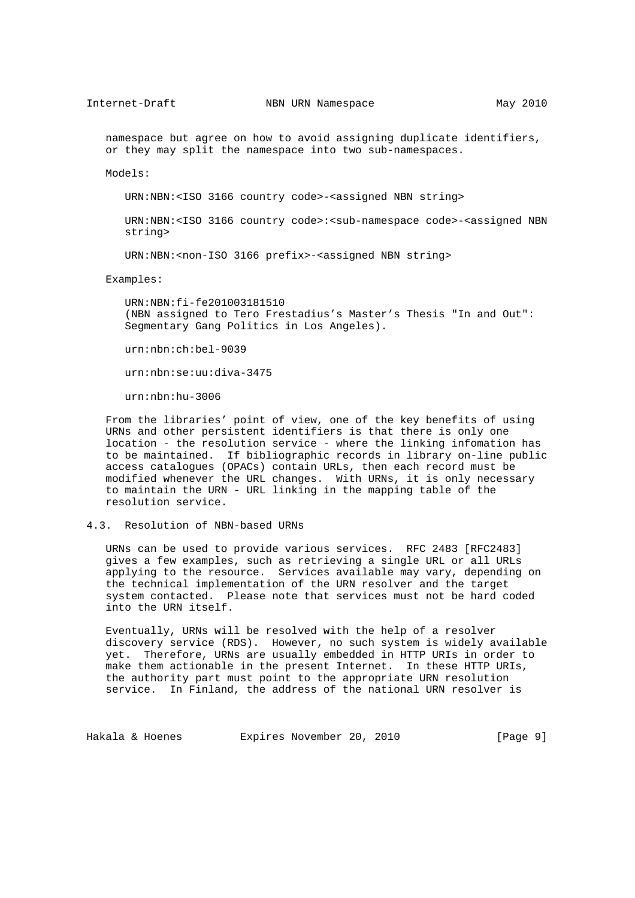namespace but agree on how to avoid assigning duplicate identifiers, or they may split the namespace into two sub-namespaces.

Models:

URN:NBN:<ISO 3166 country code>-<assigned NBN string>

 URN:NBN:<ISO 3166 country code>:<sub-namespace code>-<assigned NBN string>

URN:NBN:<non-ISO 3166 prefix>-<assigned NBN string>

Examples:

 URN:NBN:fi-fe201003181510 (NBN assigned to Tero Frestadius's Master's Thesis "In and Out": Segmentary Gang Politics in Los Angeles).

urn:nbn:ch:bel-9039

urn:nbn:se:uu:diva-3475

urn:nbn:hu-3006

 From the libraries' point of view, one of the key benefits of using URNs and other persistent identifiers is that there is only one location - the resolution service - where the linking infomation has to be maintained. If bibliographic records in library on-line public access catalogues (OPACs) contain URLs, then each record must be modified whenever the URL changes. With URNs, it is only necessary to maintain the URN - URL linking in the mapping table of the resolution service.

## 4.3. Resolution of NBN-based URNs

 URNs can be used to provide various services. RFC 2483 [RFC2483] gives a few examples, such as retrieving a single URL or all URLs applying to the resource. Services available may vary, depending on the technical implementation of the URN resolver and the target system contacted. Please note that services must not be hard coded into the URN itself.

 Eventually, URNs will be resolved with the help of a resolver discovery service (RDS). However, no such system is widely available yet. Therefore, URNs are usually embedded in HTTP URIs in order to make them actionable in the present Internet. In these HTTP URIs, the authority part must point to the appropriate URN resolution service. In Finland, the address of the national URN resolver is

Hakala & Hoenes Expires November 20, 2010 [Page 9]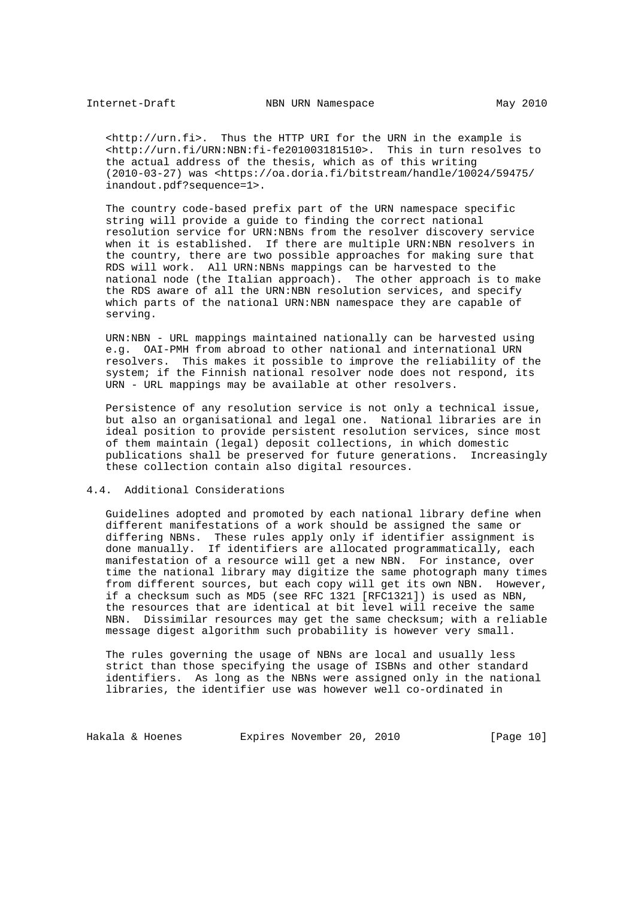<http://urn.fi>. Thus the HTTP URI for the URN in the example is <http://urn.fi/URN:NBN:fi-fe201003181510>. This in turn resolves to the actual address of the thesis, which as of this writing (2010-03-27) was <https://oa.doria.fi/bitstream/handle/10024/59475/ inandout.pdf?sequence=1>.

 The country code-based prefix part of the URN namespace specific string will provide a guide to finding the correct national resolution service for URN:NBNs from the resolver discovery service when it is established. If there are multiple URN:NBN resolvers in the country, there are two possible approaches for making sure that RDS will work. All URN:NBNs mappings can be harvested to the national node (the Italian approach). The other approach is to make the RDS aware of all the URN:NBN resolution services, and specify which parts of the national URN:NBN namespace they are capable of serving.

 URN:NBN - URL mappings maintained nationally can be harvested using e.g. OAI-PMH from abroad to other national and international URN resolvers. This makes it possible to improve the reliability of the system; if the Finnish national resolver node does not respond, its URN - URL mappings may be available at other resolvers.

 Persistence of any resolution service is not only a technical issue, but also an organisational and legal one. National libraries are in ideal position to provide persistent resolution services, since most of them maintain (legal) deposit collections, in which domestic publications shall be preserved for future generations. Increasingly these collection contain also digital resources.

## 4.4. Additional Considerations

 Guidelines adopted and promoted by each national library define when different manifestations of a work should be assigned the same or differing NBNs. These rules apply only if identifier assignment is done manually. If identifiers are allocated programmatically, each manifestation of a resource will get a new NBN. For instance, over time the national library may digitize the same photograph many times from different sources, but each copy will get its own NBN. However, if a checksum such as MD5 (see RFC 1321 [RFC1321]) is used as NBN, the resources that are identical at bit level will receive the same NBN. Dissimilar resources may get the same checksum; with a reliable message digest algorithm such probability is however very small.

 The rules governing the usage of NBNs are local and usually less strict than those specifying the usage of ISBNs and other standard identifiers. As long as the NBNs were assigned only in the national libraries, the identifier use was however well co-ordinated in

Hakala & Hoenes Expires November 20, 2010 [Page 10]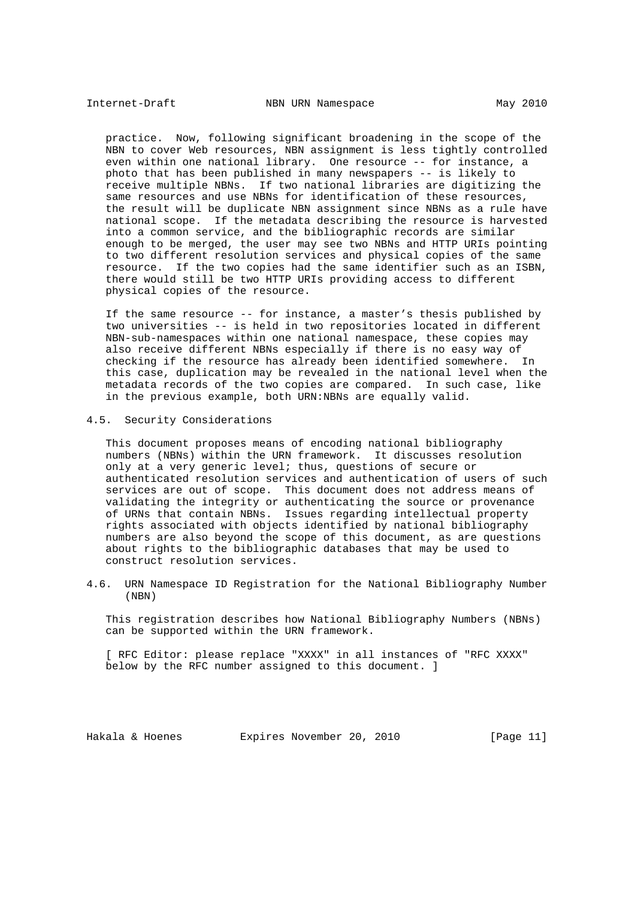practice. Now, following significant broadening in the scope of the NBN to cover Web resources, NBN assignment is less tightly controlled even within one national library. One resource -- for instance, a photo that has been published in many newspapers -- is likely to receive multiple NBNs. If two national libraries are digitizing the same resources and use NBNs for identification of these resources, the result will be duplicate NBN assignment since NBNs as a rule have national scope. If the metadata describing the resource is harvested into a common service, and the bibliographic records are similar enough to be merged, the user may see two NBNs and HTTP URIs pointing to two different resolution services and physical copies of the same resource. If the two copies had the same identifier such as an ISBN, there would still be two HTTP URIs providing access to different physical copies of the resource.

 If the same resource -- for instance, a master's thesis published by two universities -- is held in two repositories located in different NBN-sub-namespaces within one national namespace, these copies may also receive different NBNs especially if there is no easy way of checking if the resource has already been identified somewhere. In this case, duplication may be revealed in the national level when the metadata records of the two copies are compared. In such case, like in the previous example, both URN:NBNs are equally valid.

4.5. Security Considerations

 This document proposes means of encoding national bibliography numbers (NBNs) within the URN framework. It discusses resolution only at a very generic level; thus, questions of secure or authenticated resolution services and authentication of users of such services are out of scope. This document does not address means of validating the integrity or authenticating the source or provenance of URNs that contain NBNs. Issues regarding intellectual property rights associated with objects identified by national bibliography numbers are also beyond the scope of this document, as are questions about rights to the bibliographic databases that may be used to construct resolution services.

4.6. URN Namespace ID Registration for the National Bibliography Number (NBN)

 This registration describes how National Bibliography Numbers (NBNs) can be supported within the URN framework.

 [ RFC Editor: please replace "XXXX" in all instances of "RFC XXXX" below by the RFC number assigned to this document. ]

Hakala & Hoenes Expires November 20, 2010 [Page 11]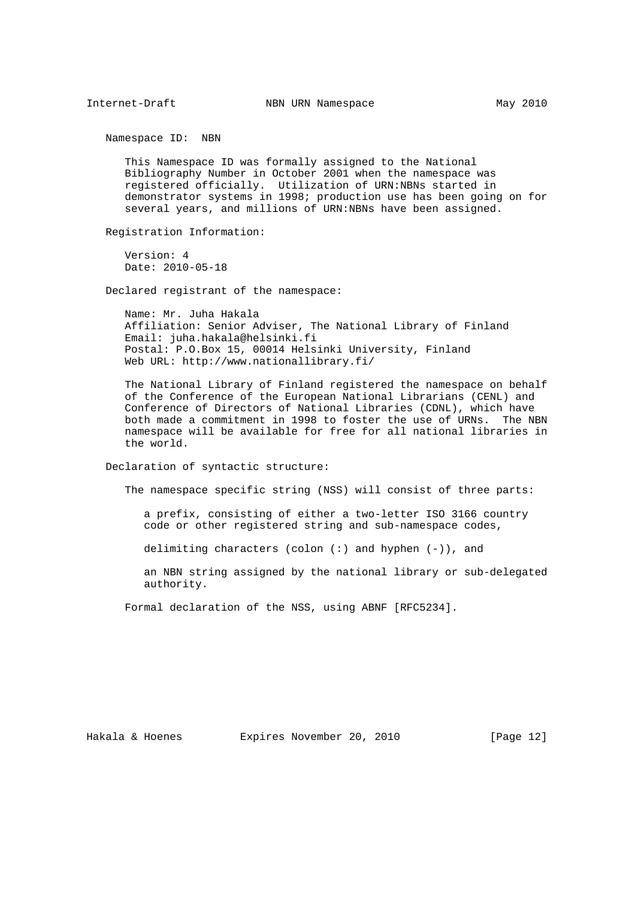Namespace ID: NBN

 This Namespace ID was formally assigned to the National Bibliography Number in October 2001 when the namespace was registered officially. Utilization of URN:NBNs started in demonstrator systems in 1998; production use has been going on for several years, and millions of URN:NBNs have been assigned.

Registration Information:

 Version: 4 Date: 2010-05-18

Declared registrant of the namespace:

 Name: Mr. Juha Hakala Affiliation: Senior Adviser, The National Library of Finland Email: juha.hakala@helsinki.fi Postal: P.O.Box 15, 00014 Helsinki University, Finland Web URL: http://www.nationallibrary.fi/

 The National Library of Finland registered the namespace on behalf of the Conference of the European National Librarians (CENL) and Conference of Directors of National Libraries (CDNL), which have both made a commitment in 1998 to foster the use of URNs. The NBN namespace will be available for free for all national libraries in the world.

Declaration of syntactic structure:

The namespace specific string (NSS) will consist of three parts:

 a prefix, consisting of either a two-letter ISO 3166 country code or other registered string and sub-namespace codes,

delimiting characters (colon  $(:)$  and hyphen  $(-)$ ), and

 an NBN string assigned by the national library or sub-delegated authority.

Formal declaration of the NSS, using ABNF [RFC5234].

Hakala & Hoenes Expires November 20, 2010 [Page 12]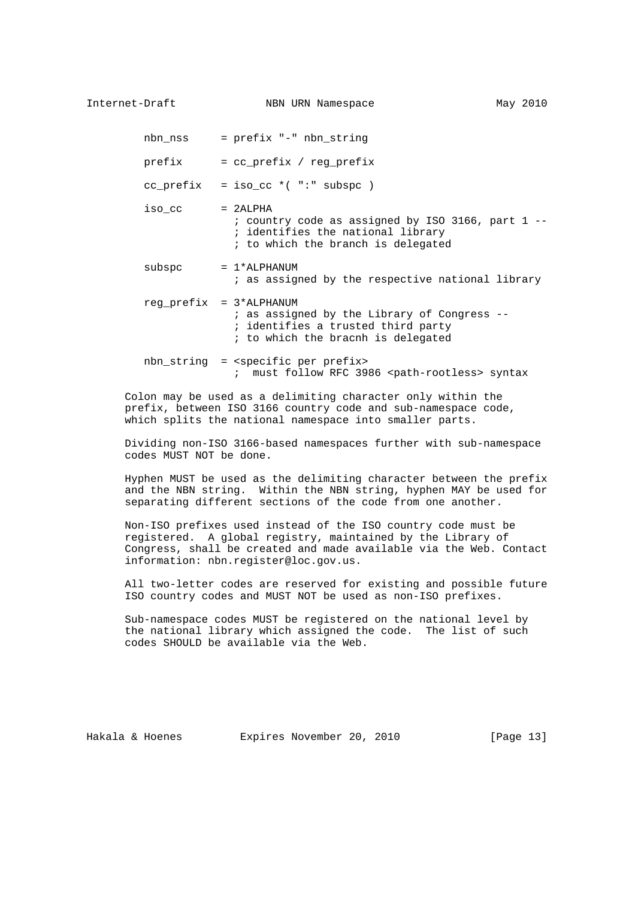nbn\_nss = prefix "-" nbn\_string

prefix = cc\_prefix / reg\_prefix

 $cc\_prefix = iso\_cc *('":" subspc)$ 

- $iso$   $cc$  =  $2ALPHA$  ; country code as assigned by ISO 3166, part 1 -- ; identifies the national library ; to which the branch is delegated
- $subspec$  =  $1*ALPHANUM$ ; as assigned by the respective national library
- reg  $prefix$  =  $3*ALPHANUM$  ; as assigned by the Library of Congress -- ; identifies a trusted third party ; to which the bracnh is delegated
- nbn\_string = <specific per prefix> ; must follow RFC 3986 <path-rootless> syntax

 Colon may be used as a delimiting character only within the prefix, between ISO 3166 country code and sub-namespace code, which splits the national namespace into smaller parts.

 Dividing non-ISO 3166-based namespaces further with sub-namespace codes MUST NOT be done.

 Hyphen MUST be used as the delimiting character between the prefix and the NBN string. Within the NBN string, hyphen MAY be used for separating different sections of the code from one another.

 Non-ISO prefixes used instead of the ISO country code must be registered. A global registry, maintained by the Library of Congress, shall be created and made available via the Web. Contact information: nbn.register@loc.gov.us.

 All two-letter codes are reserved for existing and possible future ISO country codes and MUST NOT be used as non-ISO prefixes.

 Sub-namespace codes MUST be registered on the national level by the national library which assigned the code. The list of such codes SHOULD be available via the Web.

Hakala & Hoenes Expires November 20, 2010 [Page 13]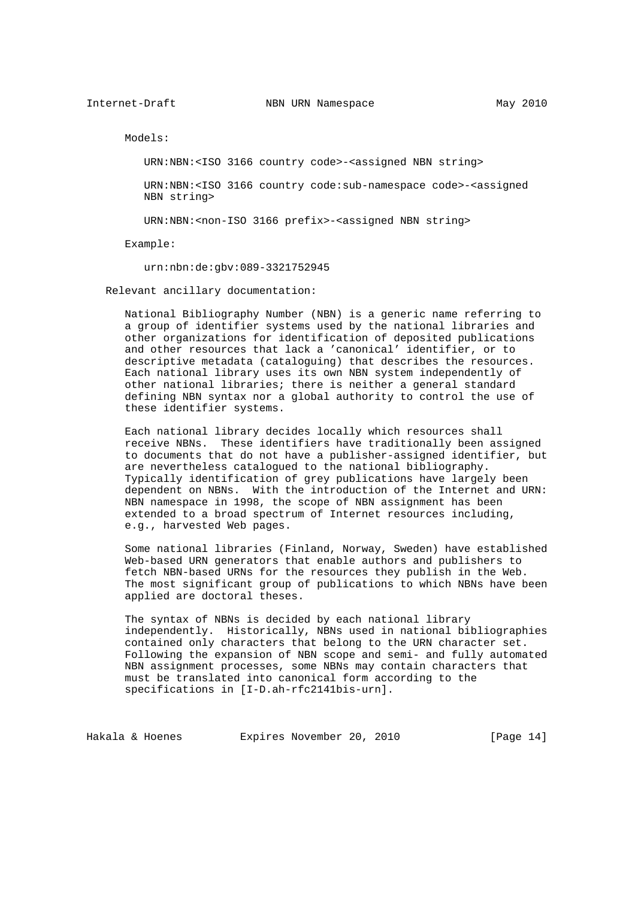Models:

URN:NBN:<ISO 3166 country code>-<assigned NBN string>

 URN:NBN:<ISO 3166 country code:sub-namespace code>-<assigned NBN string>

URN:NBN:<non-ISO 3166 prefix>-<assigned NBN string>

Example:

urn:nbn:de:gbv:089-3321752945

Relevant ancillary documentation:

 National Bibliography Number (NBN) is a generic name referring to a group of identifier systems used by the national libraries and other organizations for identification of deposited publications and other resources that lack a 'canonical' identifier, or to descriptive metadata (cataloguing) that describes the resources. Each national library uses its own NBN system independently of other national libraries; there is neither a general standard defining NBN syntax nor a global authority to control the use of these identifier systems.

 Each national library decides locally which resources shall receive NBNs. These identifiers have traditionally been assigned to documents that do not have a publisher-assigned identifier, but are nevertheless catalogued to the national bibliography. Typically identification of grey publications have largely been dependent on NBNs. With the introduction of the Internet and URN: NBN namespace in 1998, the scope of NBN assignment has been extended to a broad spectrum of Internet resources including, e.g., harvested Web pages.

 Some national libraries (Finland, Norway, Sweden) have established Web-based URN generators that enable authors and publishers to fetch NBN-based URNs for the resources they publish in the Web. The most significant group of publications to which NBNs have been applied are doctoral theses.

 The syntax of NBNs is decided by each national library independently. Historically, NBNs used in national bibliographies contained only characters that belong to the URN character set. Following the expansion of NBN scope and semi- and fully automated NBN assignment processes, some NBNs may contain characters that must be translated into canonical form according to the specifications in [I-D.ah-rfc2141bis-urn].

Hakala & Hoenes Expires November 20, 2010 [Page 14]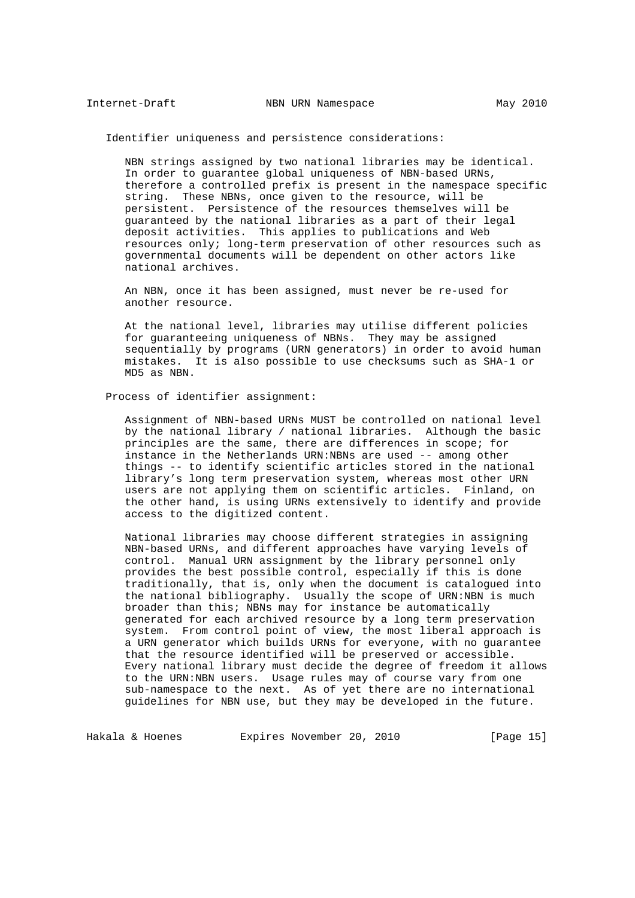Identifier uniqueness and persistence considerations:

 NBN strings assigned by two national libraries may be identical. In order to guarantee global uniqueness of NBN-based URNs, therefore a controlled prefix is present in the namespace specific string. These NBNs, once given to the resource, will be persistent. Persistence of the resources themselves will be guaranteed by the national libraries as a part of their legal deposit activities. This applies to publications and Web resources only; long-term preservation of other resources such as governmental documents will be dependent on other actors like national archives.

 An NBN, once it has been assigned, must never be re-used for another resource.

 At the national level, libraries may utilise different policies for guaranteeing uniqueness of NBNs. They may be assigned sequentially by programs (URN generators) in order to avoid human mistakes. It is also possible to use checksums such as SHA-1 or MD5 as NBN.

Process of identifier assignment:

 Assignment of NBN-based URNs MUST be controlled on national level by the national library / national libraries. Although the basic principles are the same, there are differences in scope; for instance in the Netherlands URN:NBNs are used -- among other things -- to identify scientific articles stored in the national library's long term preservation system, whereas most other URN users are not applying them on scientific articles. Finland, on the other hand, is using URNs extensively to identify and provide access to the digitized content.

 National libraries may choose different strategies in assigning NBN-based URNs, and different approaches have varying levels of control. Manual URN assignment by the library personnel only provides the best possible control, especially if this is done traditionally, that is, only when the document is catalogued into the national bibliography. Usually the scope of URN:NBN is much broader than this; NBNs may for instance be automatically generated for each archived resource by a long term preservation system. From control point of view, the most liberal approach is a URN generator which builds URNs for everyone, with no guarantee that the resource identified will be preserved or accessible. Every national library must decide the degree of freedom it allows to the URN:NBN users. Usage rules may of course vary from one sub-namespace to the next. As of yet there are no international guidelines for NBN use, but they may be developed in the future.

Hakala & Hoenes **Expires November 20, 2010** [Page 15]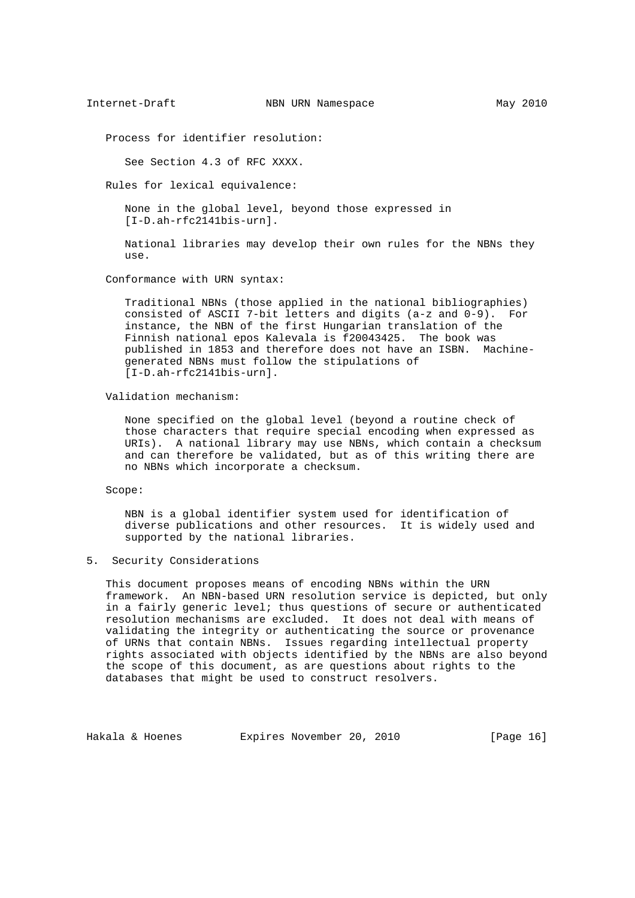Process for identifier resolution:

See Section 4.3 of RFC XXXX.

Rules for lexical equivalence:

 None in the global level, beyond those expressed in [I-D.ah-rfc2141bis-urn].

 National libraries may develop their own rules for the NBNs they use.

Conformance with URN syntax:

 Traditional NBNs (those applied in the national bibliographies) consisted of ASCII 7-bit letters and digits (a-z and 0-9). For instance, the NBN of the first Hungarian translation of the Finnish national epos Kalevala is f20043425. The book was published in 1853 and therefore does not have an ISBN. Machine generated NBNs must follow the stipulations of [I-D.ah-rfc2141bis-urn].

Validation mechanism:

 None specified on the global level (beyond a routine check of those characters that require special encoding when expressed as URIs). A national library may use NBNs, which contain a checksum and can therefore be validated, but as of this writing there are no NBNs which incorporate a checksum.

Scope:

 NBN is a global identifier system used for identification of diverse publications and other resources. It is widely used and supported by the national libraries.

## 5. Security Considerations

 This document proposes means of encoding NBNs within the URN framework. An NBN-based URN resolution service is depicted, but only in a fairly generic level; thus questions of secure or authenticated resolution mechanisms are excluded. It does not deal with means of validating the integrity or authenticating the source or provenance of URNs that contain NBNs. Issues regarding intellectual property rights associated with objects identified by the NBNs are also beyond the scope of this document, as are questions about rights to the databases that might be used to construct resolvers.

Hakala & Hoenes Expires November 20, 2010 [Page 16]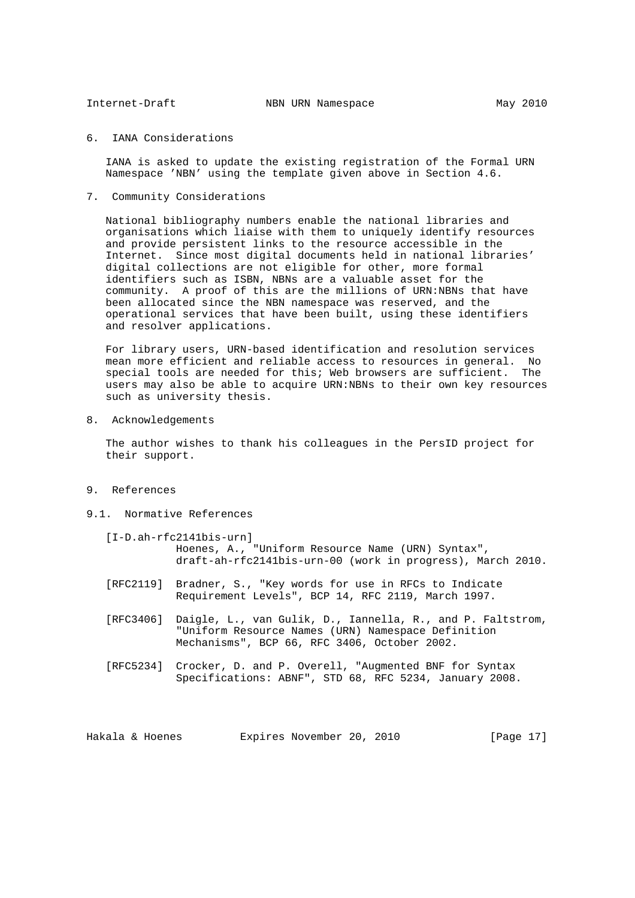## 6. IANA Considerations

 IANA is asked to update the existing registration of the Formal URN Namespace 'NBN' using the template given above in Section 4.6.

7. Community Considerations

 National bibliography numbers enable the national libraries and organisations which liaise with them to uniquely identify resources and provide persistent links to the resource accessible in the Internet. Since most digital documents held in national libraries' digital collections are not eligible for other, more formal identifiers such as ISBN, NBNs are a valuable asset for the community. A proof of this are the millions of URN:NBNs that have been allocated since the NBN namespace was reserved, and the operational services that have been built, using these identifiers and resolver applications.

 For library users, URN-based identification and resolution services mean more efficient and reliable access to resources in general. No special tools are needed for this; Web browsers are sufficient. The users may also be able to acquire URN:NBNs to their own key resources such as university thesis.

8. Acknowledgements

 The author wishes to thank his colleagues in the PersID project for their support.

- 9. References
- 9.1. Normative References
	- [I-D.ah-rfc2141bis-urn] Hoenes, A., "Uniform Resource Name (URN) Syntax", draft-ah-rfc2141bis-urn-00 (work in progress), March 2010.
	- [RFC2119] Bradner, S., "Key words for use in RFCs to Indicate Requirement Levels", BCP 14, RFC 2119, March 1997.
	- [RFC3406] Daigle, L., van Gulik, D., Iannella, R., and P. Faltstrom, "Uniform Resource Names (URN) Namespace Definition Mechanisms", BCP 66, RFC 3406, October 2002.
	- [RFC5234] Crocker, D. and P. Overell, "Augmented BNF for Syntax Specifications: ABNF", STD 68, RFC 5234, January 2008.

Hakala & Hoenes Expires November 20, 2010 [Page 17]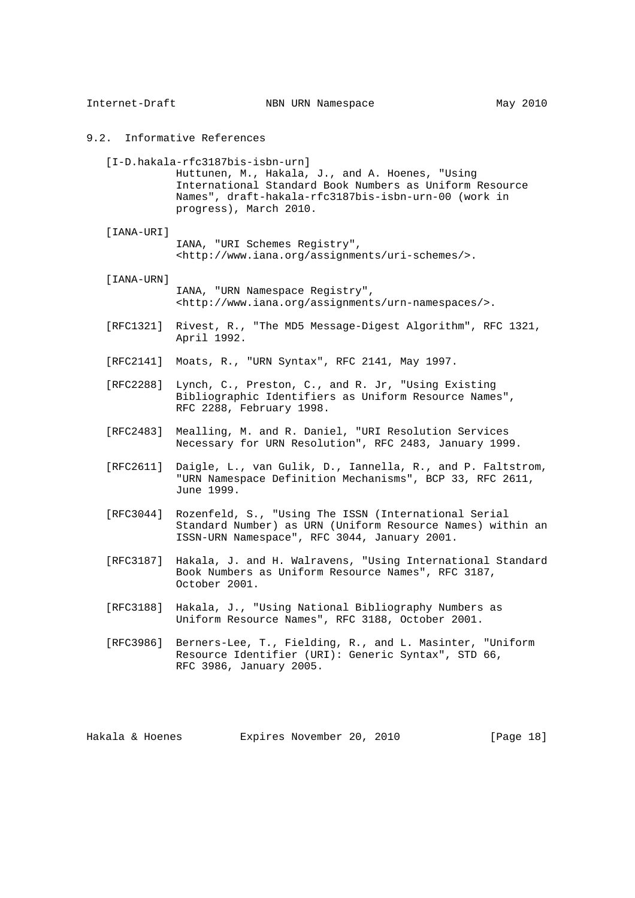| Internet-Draft  | NBN URN Namespace                                                                                                                                                                                                                  | May 2010     |
|-----------------|------------------------------------------------------------------------------------------------------------------------------------------------------------------------------------------------------------------------------------|--------------|
|                 | 9.2. Informative References                                                                                                                                                                                                        |              |
|                 | $[I-D.hakala-rfc3187bis-isbn-urn]$<br>Huttunen, M., Hakala, J., and A. Hoenes, "Using<br>International Standard Book Numbers as Uniform Resource<br>Names", draft-hakala-rfc3187bis-isbn-urn-00 (work in<br>progress), March 2010. |              |
| [IANA-URI]      | IANA, "URI Schemes Registry",<br><http: assignments="" uri-schemes="" www.iana.org=""></http:> .                                                                                                                                   |              |
| [IANA-URN]      | IANA, "URN Namespace Registry",<br><http: assignments="" urn-namespaces="" www.iana.org=""></http:> .                                                                                                                              |              |
| [RFC1321]       | Rivest, R., "The MD5 Message-Digest Algorithm", RFC 1321,<br>April 1992.                                                                                                                                                           |              |
| [RFC2141]       | Moats, R., "URN Syntax", RFC 2141, May 1997.                                                                                                                                                                                       |              |
| [RFC2288]       | Lynch, C., Preston, C., and R. Jr, "Using Existing<br>Bibliographic Identifiers as Uniform Resource Names",<br>RFC 2288, February 1998.                                                                                            |              |
| [RFC2483]       | Mealling, M. and R. Daniel, "URI Resolution Services<br>Necessary for URN Resolution", RFC 2483, January 1999.                                                                                                                     |              |
| [RFC2611]       | Daigle, L., van Gulik, D., Iannella, R., and P. Faltstrom,<br>"URN Namespace Definition Mechanisms", BCP 33, RFC 2611,<br>June 1999.                                                                                               |              |
| [RFC3044]       | Rozenfeld, S., "Using The ISSN (International Serial<br>Standard Number) as URN (Uniform Resource Names) within an<br>ISSN-URN Namespace", RFC 3044, January 2001.                                                                 |              |
| [RFC3187]       | Hakala, J. and H. Walravens, "Using International Standard<br>Book Numbers as Uniform Resource Names", RFC 3187,<br>October 2001.                                                                                                  |              |
| [RFC3188]       | Hakala, J., "Using National Bibliography Numbers as<br>Uniform Resource Names", RFC 3188, October 2001.                                                                                                                            |              |
| [RFC3986]       | Berners-Lee, T., Fielding, R., and L. Masinter, "Uniform<br>Resource Identifier (URI): Generic Syntax", STD 66,<br>RFC 3986, January 2005.                                                                                         |              |
|                 |                                                                                                                                                                                                                                    |              |
| Hakala & Hoenes | Expires November 20, 2010                                                                                                                                                                                                          | [Page $18$ ] |